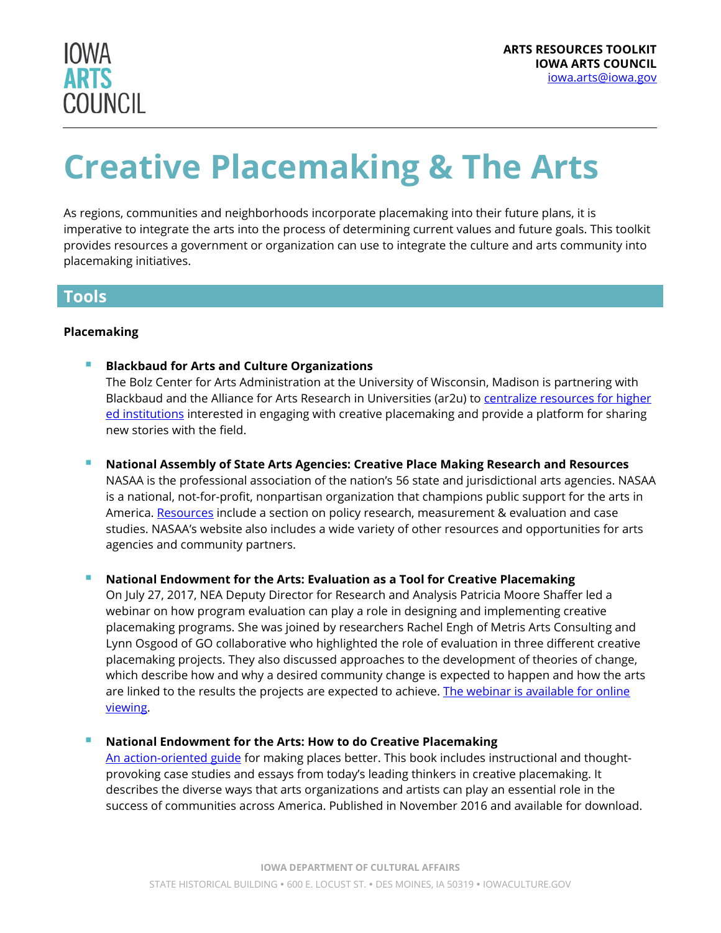

# **Creative Placemaking & The Arts**

As regions, communities and neighborhoods incorporate placemaking into their future plans, it is imperative to integrate the arts into the process of determining current values and future goals. This toolkit provides resources a government or organization can use to integrate the culture and arts community into placemaking initiatives.

### **Tools**

#### **Placemaking**

- **Blackbaud for Arts and Culture Organizations** The Bolz Center for Arts Administration at the University of Wisconsin, Madison is partnering with Blackbaud and the Alliance for Arts Research in Universities (ar2u) to centralize resources for higher [ed institutions](http://arts.blackbaud.com/creativeplacemaking) interested in engaging with creative placemaking and provide a platform for sharing new stories with the field.
- **National Assembly of State Arts Agencies: Creative Place Making Research and Resources** NASAA is the professional association of the nation's 56 state and jurisdictional arts agencies. NASAA is a national, not-for-profit, nonpartisan organization that champions public support for the arts in America. [Resources](https://nasaa-arts.org/nasaa_research/creative-place-making-research-resources/) include a section on policy research, measurement & evaluation and case studies. NASAA's website also includes a wide variety of other resources and opportunities for arts agencies and community partners.

#### **National Endowment for the Arts: Evaluation as a Tool for Creative Placemaking**

On July 27, 2017, NEA Deputy Director for Research and Analysis Patricia Moore Shaffer led a webinar on how program evaluation can play a role in designing and implementing creative placemaking programs. She was joined by researchers Rachel Engh of Metris Arts Consulting and Lynn Osgood of GO collaborative who highlighted the role of evaluation in three different creative placemaking projects. They also discussed approaches to the development of theories of change, which describe how and why a desired community change is expected to happen and how the arts are linked to the results the projects are expected to achieve. The webinar is available for online [viewing.](https://www.arts.gov/video/evaluation-tool-creative-placemaking)

#### **National Endowment for the Arts: How to do Creative Placemaking**

[An action-oriented guide](https://www.arts.gov/publications/how-do-creative-placemaking) for making places better. This book includes instructional and thoughtprovoking case studies and essays from today's leading thinkers in creative placemaking. It describes the diverse ways that arts organizations and artists can play an essential role in the success of communities across America. Published in November 2016 and available for download.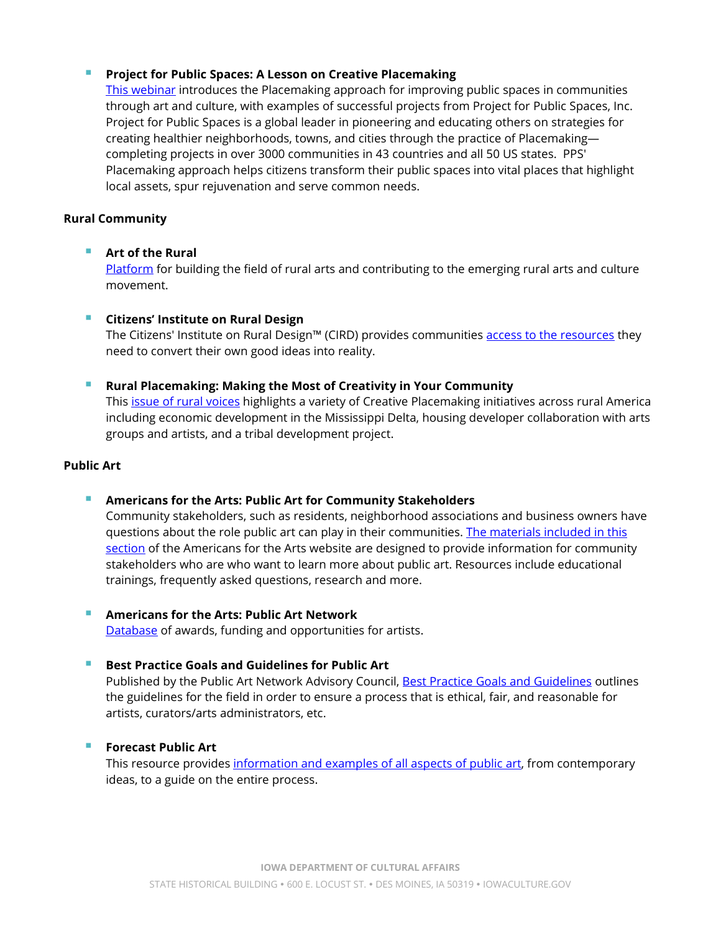#### **Project for Public Spaces: A Lesson on Creative Placemaking**

[This webinar](http://www.artscapediy.org/Resources/2014-Webinar-Series/Artscape-in-Conversation-Project-for-Public-Spaces.aspx) introduces the Placemaking approach for improving public spaces in communities through art and culture, with examples of successful projects from Project for Public Spaces, Inc. Project for Public Spaces is a global leader in pioneering and educating others on strategies for creating healthier neighborhoods, towns, and cities through the practice of Placemaking completing projects in over 3000 communities in 43 countries and all 50 US states. PPS' Placemaking approach helps citizens transform their public spaces into vital places that highlight local assets, spur rejuvenation and serve common needs.

#### **Rural Community**

#### **Art of the Rural**

[Platform](http://artoftherural.org/) for building the field of rural arts and contributing to the emerging rural arts and culture movement.

#### **F** Citizens' Institute on Rural Design

The Citizens' Institute on Rural Design™ (CIRD) provides communities [access to the resources](http://rural-design.org/) they need to convert their own good ideas into reality.

#### **Rural Placemaking: Making the Most of Creativity in Your Community**

This [issue of rural voices](http://www.ruralhome.org/storage/documents/rural-voices/rv-summer-2017.pdf) highlights a variety of Creative Placemaking initiatives across rural America including economic development in the Mississippi Delta, housing developer collaboration with arts groups and artists, and a tribal development project.

#### **Public Art**

- **Americans for the Arts: Public Art for Community Stakeholders** Community stakeholders, such as residents, neighborhood associations and business owners have questions about the role public art can play in their communities. [The materials included in this](http://www.americansforthearts.org/by-program/networks-and-councils/public-art-network/public-art-resource-center/community-stakeholders)  [section](http://www.americansforthearts.org/by-program/networks-and-councils/public-art-network/public-art-resource-center/community-stakeholders) of the Americans for the Arts website are designed to provide information for community stakeholders who are who want to learn more about public art. Resources include educational
- **Americans for the Arts: Public Art Network** [Database](http://www.americansforthearts.org/by-program/networks-and-councils/public-art-network/tools-resources) of awards, funding and opportunities for artists.
- 

## **Best Practice Goals and Guidelines for Public Art**

trainings, frequently asked questions, research and more.

Published by the Public Art Network Advisory Council, [Best Practice Goals and Guidelines](http://www.americansforthearts.org/by-program/reports-and-data/legislation-policy/naappd/best-practice-goals-and-guidelines) outlines the guidelines for the field in order to ensure a process that is ethical, fair, and reasonable for artists, curators/arts administrators, etc.

#### **Forecast Public Art**

This resource provides [information and examples](http://forecastpublicart.org/toolkit/) of all aspects of public art, from contemporary ideas, to a guide on the entire process.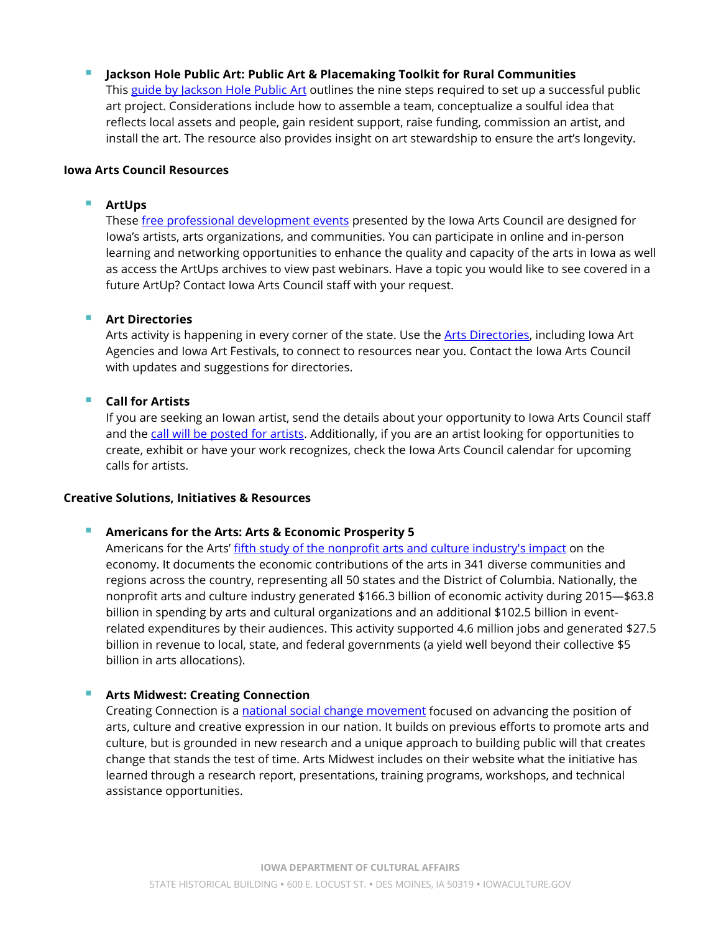**Jackson Hole Public Art: Public Art & Placemaking Toolkit for Rural Communities**

This [guide by Jackson Hole Public Art](http://2vu7r51wf6it1bb04v1tratk.wpengine.netdna-cdn.com/wp-content/uploads/2012/12/Places-of-possiblity-public-art-toolkit.pdf) outlines the nine steps required to set up a successful public art project. Considerations include how to assemble a team, conceptualize a soulful idea that reflects local assets and people, gain resident support, raise funding, commission an artist, and install the art. The resource also provides insight on art stewardship to ensure the art's longevity.

#### **Iowa Arts Council Resources**

#### **ArtUps**

These [free professional development events](https://iowaculture.gov/arts/tools-and-resources/professional-development/artups) presented by the Iowa Arts Council are designed for Iowa's artists, arts organizations, and communities. You can participate in online and in-person learning and networking opportunities to enhance the quality and capacity of the arts in Iowa as well as access the ArtUps archives to view past webinars. Have a topic you would like to see covered in a future ArtUp? Contact Iowa Arts Council staff with your request.

#### **Art Directories**

Arts activity is happening in every corner of the state. Use the [Arts Directories,](https://iowaculture.gov/arts/tools-resources/arts-directories) including Iowa Art Agencies and Iowa Art Festivals, to connect to resources near you. Contact the Iowa Arts Council with updates and suggestions for directories.

#### **Call for Artists**

If you are seeking an Iowan artist, send the details about your opportunity to Iowa Arts Council staff and the [call will be posted for artists.](https://iowaculture.gov/arts/opportunities/calls-for-artists) Additionally, if you are an artist looking for opportunities to create, exhibit or have your work recognizes, check the Iowa Arts Council calendar for upcoming calls for artists.

#### **Creative Solutions, Initiatives & Resources**

#### **Americans for the Arts: Arts & Economic Prosperity 5**

Americans for the Arts[' fifth study of the nonprofit arts and culture industry's impact](http://www.americansforthearts.org/by-program/reports-and-data/research-studies-publications/arts-economic-prosperity-5) on the economy. It documents the economic contributions of the arts in 341 diverse communities and regions across the country, representing all 50 states and the District of Columbia. Nationally, the nonprofit arts and culture industry generated \$166.3 billion of economic activity during 2015—\$63.8 billion in spending by arts and cultural organizations and an additional \$102.5 billion in eventrelated expenditures by their audiences. This activity supported 4.6 million jobs and generated \$27.5 billion in revenue to local, state, and federal governments (a yield well beyond their collective \$5 billion in arts allocations).

#### **Arts Midwest: Creating Connection**

Creating Connection is [a national social change movement](https://www.artsmidwest.org/programs/creating-connection) focused on advancing the position of arts, culture and creative expression in our nation. It builds on previous efforts to promote arts and culture, but is grounded in new research and a unique approach to building public will that creates change that stands the test of time. Arts Midwest includes on their website what the initiative has learned through a research report, presentations, training programs, workshops, and technical assistance opportunities.